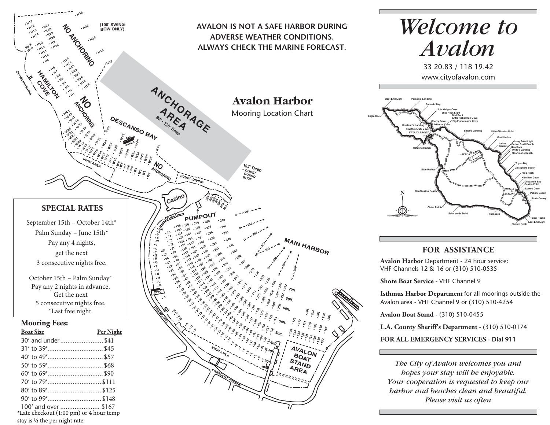

\*Late checkout (1:00 pm) or 4 hour temp stay is ½ the per night rate.